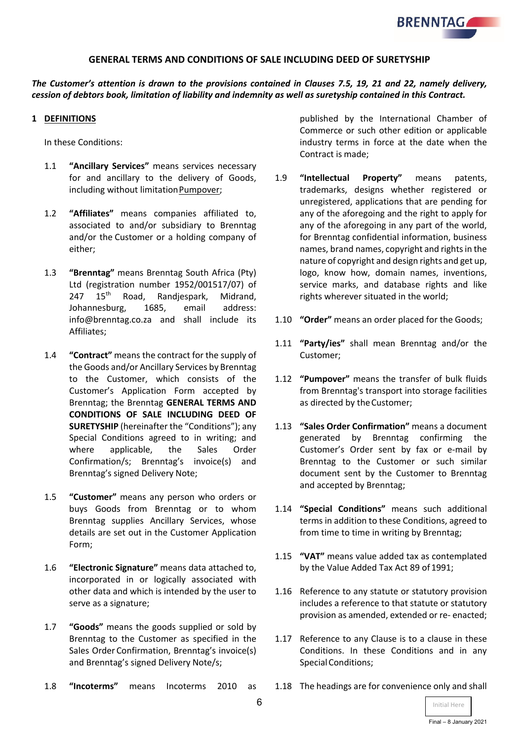

### **GENERAL TERMS AND CONDITIONS OF SALE INCLUDING DEED OF SURETYSHIP**

*The Customer's attention is drawn to the provisions contained in Clauses 7.5, 19, 21 and 22, namely delivery, cession of debtors book, limitation of liability and indemnity as well as suretyship contained in this Contract.*

### **1 DEFINITIONS**

In these Conditions:

- 1.1 **"Ancillary Services"** means services necessary for and ancillary to the delivery of Goods, including without limitationPumpover;
- 1.2 **"Affiliates"** means companies affiliated to, associated to and/or subsidiary to Brenntag and/or the Customer or a holding company of either;
- 1.3 **"Brenntag"** means Brenntag South Africa (Pty) Ltd (registration number 1952/001517/07) of 247 15<sup>th</sup> Road, Randjespark, Midrand, Johannesburg, 1685, email address: info@brenntag.co.za and shall include its Affiliates;
- 1.4 **"Contract"** means the contract for the supply of the Goods and/or Ancillary Services by Brenntag to the Customer, which consists of the Customer's Application Form accepted by Brenntag; the Brenntag **GENERAL TERMS AND CONDITIONS OF SALE INCLUDING DEED OF SURETYSHIP** (hereinafter the "Conditions"); any Special Conditions agreed to in writing; and where applicable, the Sales Order Confirmation/s; Brenntag's invoice(s) and Brenntag's signed Delivery Note;
- 1.5 **"Customer"** means any person who orders or buys Goods from Brenntag or to whom Brenntag supplies Ancillary Services, whose details are set out in the Customer Application Form;
- 1.6 **"Electronic Signature"** means data attached to, incorporated in or logically associated with other data and which is intended by the user to serve as a signature;
- 1.7 **"Goods"** means the goods supplied or sold by Brenntag to the Customer as specified in the Sales Order Confirmation, Brenntag's invoice(s) and Brenntag's signed Delivery Note/s;
- 1.8 **"Incoterms"** means Incoterms 2010 as

published by the International Chamber of Commerce or such other edition or applicable industry terms in force at the date when the Contract is made;

- 1.9 **"Intellectual Property"** means patents, trademarks, designs whether registered or unregistered, applications that are pending for any of the aforegoing and the right to apply for any of the aforegoing in any part of the world, for Brenntag confidential information, business names, brand names, copyright and rightsin the nature of copyright and design rights and get up, logo, know how, domain names, inventions, service marks, and database rights and like rights wherever situated in the world;
- 1.10 **"Order"** means an order placed for the Goods;
- 1.11 **"Party/ies"** shall mean Brenntag and/or the Customer;
- 1.12 **"Pumpover"** means the transfer of bulk fluids from Brenntag's transport into storage facilities as directed by theCustomer;
- 1.13 **"Sales Order Confirmation"** means a document generated by Brenntag confirming the Customer's Order sent by fax or e-mail by Brenntag to the Customer or such similar document sent by the Customer to Brenntag and accepted by Brenntag;
- 1.14 **"Special Conditions"** means such additional terms in addition to these Conditions, agreed to from time to time in writing by Brenntag;
- 1.15 **"VAT"** means value added tax as contemplated by the Value Added Tax Act 89 of 1991;
- 1.16 Reference to any statute or statutory provision includes a reference to that statute or statutory provision as amended, extended or re- enacted;
- 1.17 Reference to any Clause is to a clause in these Conditions. In these Conditions and in any Special Conditions;
- 1.18 The headings are for convenience only and shall

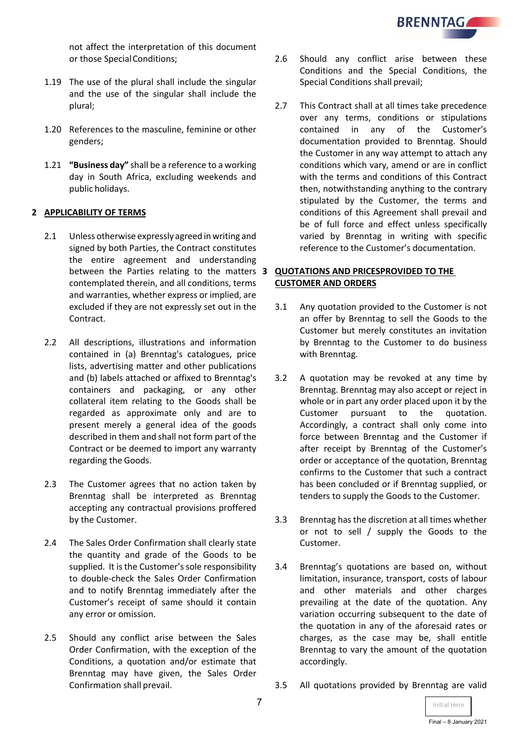

not affect the interpretation of this document or those SpecialConditions;

- 1.19 The use of the plural shall include the singular and the use of the singular shall include the plural;
- 1.20 References to the masculine, feminine or other genders;
- 1.21 **"Business day"** shall be a reference to a working day in South Africa, excluding weekends and public holidays.

### **2 APPLICABILITY OF TERMS**

- 2.1 Unless otherwise expressly agreed inwriting and signed by both Parties, the Contract constitutes the entire agreement and understanding between the Parties relating to the matters **3 QUOTATIONS AND PRICESPROVIDED TO THE**  contemplated therein, and all conditions, terms and warranties, whether express or implied, are excluded if they are not expressly set out in the Contract.
- 2.2 All descriptions, illustrations and information contained in (a) Brenntag's catalogues, price lists, advertising matter and other publications and (b) labels attached or affixed to Brenntag's containers and packaging, or any other collateral item relating to the Goods shall be regarded as approximate only and are to present merely a general idea of the goods described in them and shall not form part of the Contract or be deemed to import any warranty regarding the Goods.
- 2.3 The Customer agrees that no action taken by Brenntag shall be interpreted as Brenntag accepting any contractual provisions proffered by the Customer.
- 2.4 The Sales Order Confirmation shall clearly state the quantity and grade of the Goods to be supplied. It is the Customer's sole responsibility to double-check the Sales Order Confirmation and to notify Brenntag immediately after the Customer's receipt of same should it contain any error or omission.
- 2.5 Should any conflict arise between the Sales Order Confirmation, with the exception of the Conditions, a quotation and/or estimate that Brenntag may have given, the Sales Order Confirmation shall prevail.
- 2.6 Should any conflict arise between these Conditions and the Special Conditions, the Special Conditions shall prevail;
- 2.7 This Contract shall at all times take precedence over any terms, conditions or stipulations contained in any of the Customer's documentation provided to Brenntag. Should the Customer in any way attempt to attach any conditions which vary, amend or are in conflict with the terms and conditions of this Contract then, notwithstanding anything to the contrary stipulated by the Customer, the terms and conditions of this Agreement shall prevail and be of full force and effect unless specifically varied by Brenntag in writing with specific reference to the Customer's documentation.

# **CUSTOMER AND ORDERS**

- 3.1 Any quotation provided to the Customer is not an offer by Brenntag to sell the Goods to the Customer but merely constitutes an invitation by Brenntag to the Customer to do business with Brenntag.
- 3.2 A quotation may be revoked at any time by Brenntag. Brenntag may also accept or reject in whole or in part any order placed upon it by the Customer pursuant to the quotation. Accordingly, a contract shall only come into force between Brenntag and the Customer if after receipt by Brenntag of the Customer's order or acceptance of the quotation, Brenntag confirms to the Customer that such a contract has been concluded or if Brenntag supplied, or tenders to supply the Goods to the Customer.
- 3.3 Brenntag has the discretion at all times whether or not to sell / supply the Goods to the Customer.
- 3.4 Brenntag's quotations are based on, without limitation, insurance, transport, costs of labour and other materials and other charges prevailing at the date of the quotation. Any variation occurring subsequent to the date of the quotation in any of the aforesaid rates or charges, as the case may be, shall entitle Brenntag to vary the amount of the quotation accordingly.
- 3.5 All quotations provided by Brenntag are valid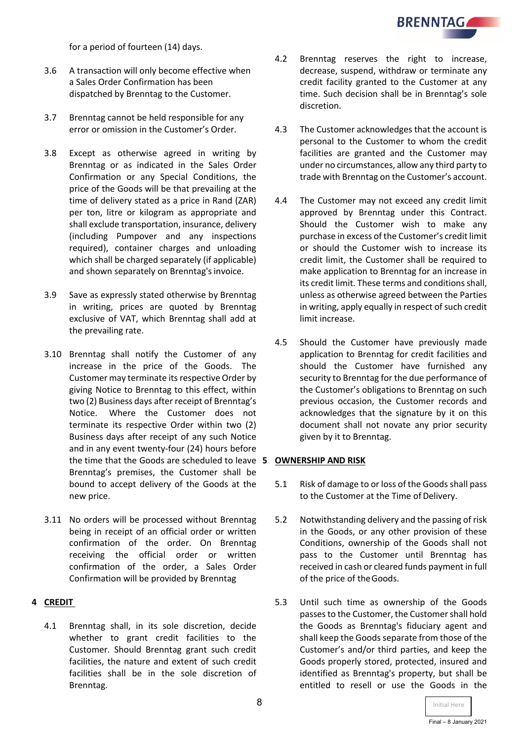**BRENNTAGAL** 

for a period of fourteen (14) days.

- 3.6 A transaction will only become effective when a Sales Order Confirmation has been dispatched by Brenntag to the Customer.
- 3.7 Brenntag cannot be held responsible for any error or omission in the Customer's Order.
- 3.8 Except as otherwise agreed in writing by Brenntag or as indicated in the Sales Order Confirmation or any Special Conditions, the price of the Goods will be that prevailing at the time of delivery stated as a price in Rand (ZAR) per ton, litre or kilogram as appropriate and shall exclude transportation, insurance, delivery (including Pumpover and any inspections required), container charges and unloading which shall be charged separately (if applicable) and shown separately on Brenntag's invoice.
- 3.9 Save as expressly stated otherwise by Brenntag in writing, prices are quoted by Brenntag exclusive of VAT, which Brenntag shall add at the prevailing rate.
- 3.10 Brenntag shall notify the Customer of any increase in the price of the Goods. The Customer may terminate its respective Order by giving Notice to Brenntag to this effect, within two (2) Business days after receipt of Brenntag's Notice. Where the Customer does not terminate its respective Order within two (2) Business days after receipt of any such Notice and in any event twenty-four (24) hours before the time that the Goods are scheduled to leave **5 OWNERSHIP AND RISK** Brenntag's premises, the Customer shall be bound to accept delivery of the Goods at the new price.
- 3.11 No orders will be processed without Brenntag being in receipt of an official order or written confirmation of the order. On Brenntag receiving the official order or written confirmation of the order, a Sales Order Confirmation will be provided by Brenntag

### **4 CREDIT**

4.1 Brenntag shall, in its sole discretion, decide whether to grant credit facilities to the Customer. Should Brenntag grant such credit facilities, the nature and extent of such credit facilities shall be in the sole discretion of Brenntag.

- 4.2 Brenntag reserves the right to increase, decrease, suspend, withdraw or terminate any credit facility granted to the Customer at any time. Such decision shall be in Brenntag's sole discretion.
- 4.3 The Customer acknowledges that the account is personal to the Customer to whom the credit facilities are granted and the Customer may under no circumstances, allow any third party to trade with Brenntag on the Customer's account.
- 4.4 The Customer may not exceed any credit limit approved by Brenntag under this Contract. Should the Customer wish to make any purchase in excess of the Customer's credit limit or should the Customer wish to increase its credit limit, the Customer shall be required to make application to Brenntag for an increase in its credit limit. These terms and conditions shall, unless as otherwise agreed between the Parties in writing, apply equally in respect of such credit limit increase.
- 4.5 Should the Customer have previously made application to Brenntag for credit facilities and should the Customer have furnished any security to Brenntag for the due performance of the Customer's obligations to Brenntag on such previous occasion, the Customer records and acknowledges that the signature by it on this document shall not novate any prior security given by it to Brenntag.

- 5.1 Risk of damage to or loss of the Goods shall pass to the Customer at the Time of Delivery.
- 5.2 Notwithstanding delivery and the passing of risk in the Goods, or any other provision of these Conditions, ownership of the Goods shall not pass to the Customer until Brenntag has received in cash or cleared funds payment in full of the price of theGoods.
- 5.3 Until such time as ownership of the Goods passes to the Customer, the Customer shall hold the Goods as Brenntag's fiduciary agent and shall keep the Goods separate from those of the Customer's and/or third parties, and keep the Goods properly stored, protected, insured and identified as Brenntag's property, but shall be entitled to resell or use the Goods in the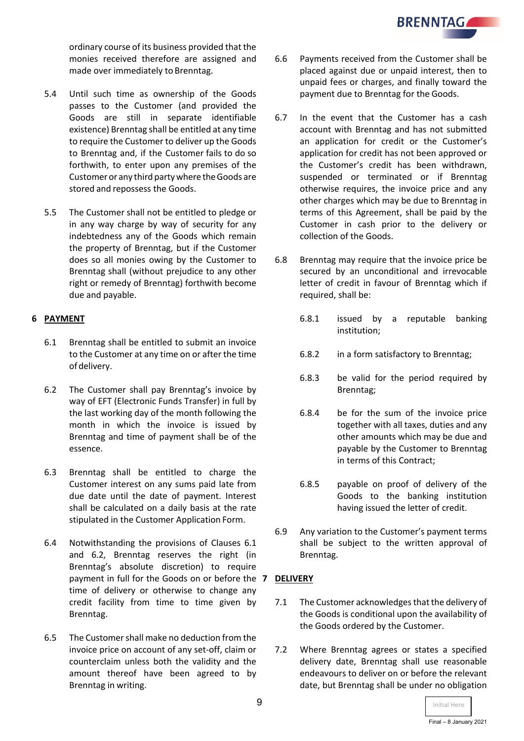ordinary course of its business provided that the monies received therefore are assigned and made over immediately to Brenntag.

- 5.4 Until such time as ownership of the Goods passes to the Customer (and provided the Goods are still in separate identifiable existence) Brenntag shall be entitled at any time to require the Customer to deliver up the Goods to Brenntag and, if the Customer fails to do so forthwith, to enter upon any premises of the Customeror any third partywhere theGoods are stored and repossess the Goods.
- 5.5 The Customer shall not be entitled to pledge or in any way charge by way of security for any indebtedness any of the Goods which remain the property of Brenntag, but if the Customer does so all monies owing by the Customer to Brenntag shall (without prejudice to any other right or remedy of Brenntag) forthwith become due and payable.

# **6 PAYMENT**

- 6.1 Brenntag shall be entitled to submit an invoice to the Customer at any time on or after the time ofdelivery.
- 6.2 The Customer shall pay Brenntag's invoice by way of EFT (Electronic Funds Transfer) in full by the last working day of the month following the month in which the invoice is issued by Brenntag and time of payment shall be of the essence.
- 6.3 Brenntag shall be entitled to charge the Customer interest on any sums paid late from due date until the date of payment. Interest shall be calculated on a daily basis at the rate stipulated in the Customer Application Form.
- 6.4 Notwithstanding the provisions of Clauses 6.1 and 6.2, Brenntag reserves the right (in Brenntag's absolute discretion) to require payment in full for the Goods on or before the **7 DELIVERY** time of delivery or otherwise to change any credit facility from time to time given by Brenntag.
- 6.5 The Customer shall make no deduction from the invoice price on account of any set-off, claim or counterclaim unless both the validity and the amount thereof have been agreed to by Brenntag in writing.
- 6.6 Payments received from the Customer shall be placed against due or unpaid interest, then to unpaid fees or charges, and finally toward the payment due to Brenntag for the Goods.
- 6.7 In the event that the Customer has a cash account with Brenntag and has not submitted an application for credit or the Customer's application for credit has not been approved or the Customer's credit has been withdrawn, suspended or terminated or if Brenntag otherwise requires, the invoice price and any other charges which may be due to Brenntag in terms of this Agreement, shall be paid by the Customer in cash prior to the delivery or collection of the Goods.
- 6.8 Brenntag may require that the invoice price be secured by an unconditional and irrevocable letter of credit in favour of Brenntag which if required, shall be:
	- 6.8.1 issued by a reputable banking institution;
	- 6.8.2 in a form satisfactory to Brenntag;
	- 6.8.3 be valid for the period required by Brenntag;
	- 6.8.4 be for the sum of the invoice price together with all taxes, duties and any other amounts which may be due and payable by the Customer to Brenntag in terms of this Contract;
	- 6.8.5 payable on proof of delivery of the Goods to the banking institution having issued the letter of credit.
- 6.9 Any variation to the Customer's payment terms shall be subject to the written approval of Brenntag.

- 7.1 The Customer acknowledges that the delivery of the Goods is conditional upon the availability of the Goods ordered by the Customer.
- 7.2 Where Brenntag agrees or states a specified delivery date, Brenntag shall use reasonable endeavours to deliver on or before the relevant date, but Brenntag shall be under no obligation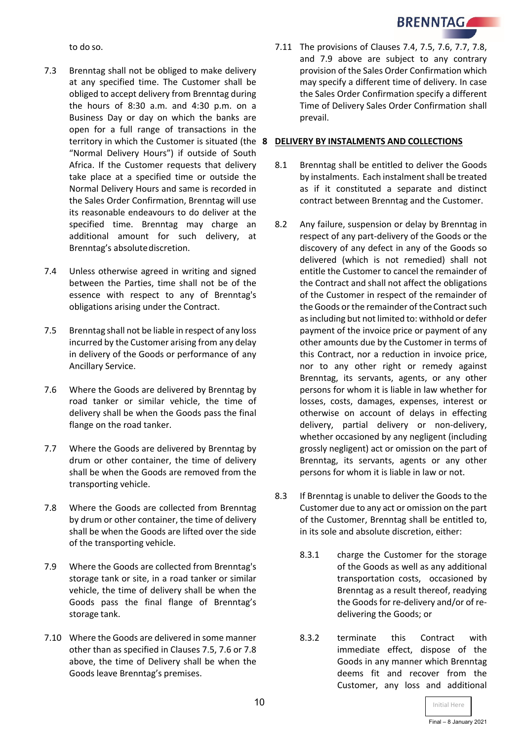to do so.

- 7.3 Brenntag shall not be obliged to make delivery at any specified time. The Customer shall be obliged to accept delivery from Brenntag during the hours of 8:30 a.m. and 4:30 p.m. on a Business Day or day on which the banks are open for a full range of transactions in the territory in which the Customer is situated (the **8 DELIVERY BY INSTALMENTS AND COLLECTIONS** "Normal Delivery Hours") if outside of South Africa. If the Customer requests that delivery take place at a specified time or outside the Normal Delivery Hours and same is recorded in the Sales Order Confirmation, Brenntag will use its reasonable endeavours to do deliver at the specified time. Brenntag may charge an additional amount for such delivery, at Brenntag's absolutediscretion.
- 7.4 Unless otherwise agreed in writing and signed between the Parties, time shall not be of the essence with respect to any of Brenntag's obligations arising under the Contract.
- 7.5 Brenntag shall not be liable in respect of any loss incurred by the Customer arising from any delay in delivery of the Goods or performance of any Ancillary Service.
- 7.6 Where the Goods are delivered by Brenntag by road tanker or similar vehicle, the time of delivery shall be when the Goods pass the final flange on the road tanker.
- 7.7 Where the Goods are delivered by Brenntag by drum or other container, the time of delivery shall be when the Goods are removed from the transporting vehicle.
- 7.8 Where the Goods are collected from Brenntag by drum or other container, the time of delivery shall be when the Goods are lifted over the side of the transporting vehicle.
- 7.9 Where the Goods are collected from Brenntag's storage tank or site, in a road tanker or similar vehicle, the time of delivery shall be when the Goods pass the final flange of Brenntag's storage tank.
- 7.10 Where the Goods are delivered in some manner other than as specified in Clauses 7.5, 7.6 or 7.8 above, the time of Delivery shall be when the Goods leave Brenntag's premises.

7.11 The provisions of Clauses 7.4, 7.5, 7.6, 7.7, 7.8, and 7.9 above are subject to any contrary provision of the Sales Order Confirmation which may specify a different time of delivery. In case the Sales Order Confirmation specify a different Time of Delivery Sales Order Confirmation shall prevail.

- 8.1 Brenntag shall be entitled to deliver the Goods by instalments. Each instalment shall be treated as if it constituted a separate and distinct contract between Brenntag and the Customer.
- 8.2 Any failure, suspension or delay by Brenntag in respect of any part-delivery of the Goods or the discovery of any defect in any of the Goods so delivered (which is not remedied) shall not entitle the Customer to cancel the remainder of the Contract and shall not affect the obligations of the Customer in respect of the remainder of the Goods or the remainder of the Contract such as including but not limited to: withhold or defer payment of the invoice price or payment of any other amounts due by the Customer in terms of this Contract, nor a reduction in invoice price, nor to any other right or remedy against Brenntag, its servants, agents, or any other persons for whom it is liable in law whether for losses, costs, damages, expenses, interest or otherwise on account of delays in effecting delivery, partial delivery or non-delivery, whether occasioned by any negligent (including grossly negligent) act or omission on the part of Brenntag, its servants, agents or any other persons for whom it is liable in law or not.
- 8.3 If Brenntag is unable to deliver the Goods to the Customer due to any act or omission on the part of the Customer, Brenntag shall be entitled to, in its sole and absolute discretion, either:
	- 8.3.1 charge the Customer for the storage of the Goods as well as any additional transportation costs, occasioned by Brenntag as a result thereof, readying the Goods for re-delivery and/or of redelivering the Goods; or
	- 8.3.2 terminate this Contract with immediate effect, dispose of the Goods in any manner which Brenntag deems fit and recover from the Customer, any loss and additional

**BRENNTAG**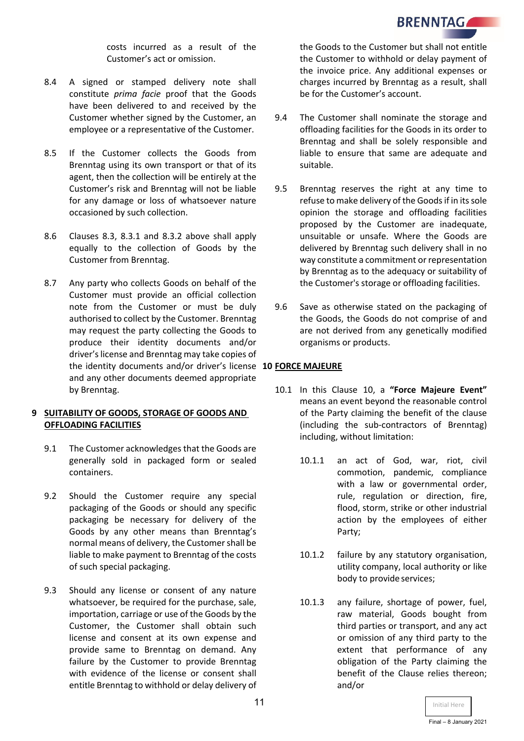

costs incurred as a result of the Customer's act or omission.

- 8.4 A signed or stamped delivery note shall constitute *prima facie* proof that the Goods have been delivered to and received by the Customer whether signed by the Customer, an employee or a representative of the Customer.
- 8.5 If the Customer collects the Goods from Brenntag using its own transport or that of its agent, then the collection will be entirely at the Customer's risk and Brenntag will not be liable for any damage or loss of whatsoever nature occasioned by such collection.
- 8.6 Clauses 8.3, 8.3.1 and 8.3.2 above shall apply equally to the collection of Goods by the Customer from Brenntag.
- 8.7 Any party who collects Goods on behalf of the Customer must provide an official collection note from the Customer or must be duly authorised to collect by the Customer. Brenntag may request the party collecting the Goods to produce their identity documents and/or driver's license and Brenntag may take copies of the identity documents and/or driver's license **10 FORCE MAJEURE** and any other documents deemed appropriate by Brenntag.

### **9 SUITABILITY OF GOODS, STORAGE OF GOODS AND OFFLOADING FACILITIES**

- 9.1 The Customer acknowledges that the Goods are generally sold in packaged form or sealed containers.
- 9.2 Should the Customer require any special packaging of the Goods or should any specific packaging be necessary for delivery of the Goods by any other means than Brenntag's normal means of delivery, the Customer shall be liable to make payment to Brenntag of the costs of such special packaging.
- 9.3 Should any license or consent of any nature whatsoever, be required for the purchase, sale, importation, carriage or use of the Goods by the Customer, the Customer shall obtain such license and consent at its own expense and provide same to Brenntag on demand. Any failure by the Customer to provide Brenntag with evidence of the license or consent shall entitle Brenntag to withhold or delay delivery of

the Goods to the Customer but shall not entitle the Customer to withhold or delay payment of the invoice price. Any additional expenses or charges incurred by Brenntag as a result, shall be for the Customer's account.

- 9.4 The Customer shall nominate the storage and offloading facilities for the Goods in its order to Brenntag and shall be solely responsible and liable to ensure that same are adequate and suitable.
- 9.5 Brenntag reserves the right at any time to refuse to make delivery of the Goods if in its sole opinion the storage and offloading facilities proposed by the Customer are inadequate, unsuitable or unsafe. Where the Goods are delivered by Brenntag such delivery shall in no way constitute a commitment or representation by Brenntag as to the adequacy or suitability of the Customer's storage or offloading facilities.
- 9.6 Save as otherwise stated on the packaging of the Goods, the Goods do not comprise of and are not derived from any genetically modified organisms or products.

- 10.1 In this Clause 10, a **"Force Majeure Event"** means an event beyond the reasonable control of the Party claiming the benefit of the clause (including the sub-contractors of Brenntag) including, without limitation:
	- 10.1.1 an act of God, war, riot, civil commotion, pandemic, compliance with a law or governmental order, rule, regulation or direction, fire, flood, storm, strike or other industrial action by the employees of either Party;
	- 10.1.2 failure by any statutory organisation, utility company, local authority or like body to provide services;
	- 10.1.3 any failure, shortage of power, fuel, raw material, Goods bought from third parties or transport, and any act or omission of any third party to the extent that performance of any obligation of the Party claiming the benefit of the Clause relies thereon; and/or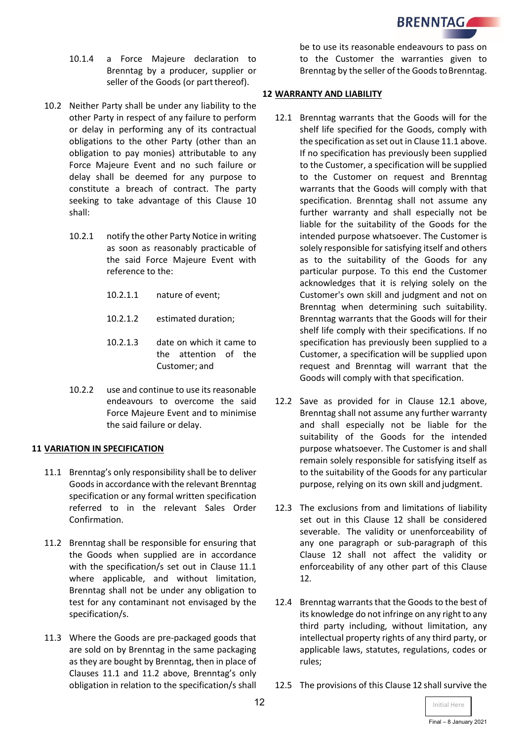**BRENNTAGALL** 

- 10.1.4 a Force Majeure declaration to Brenntag by a producer, supplier or seller of the Goods (or part thereof).
- 10.2 Neither Party shall be under any liability to the other Party in respect of any failure to perform or delay in performing any of its contractual obligations to the other Party (other than an obligation to pay monies) attributable to any Force Majeure Event and no such failure or delay shall be deemed for any purpose to constitute a breach of contract. The party seeking to take advantage of this Clause 10 shall:
	- 10.2.1 notify the other Party Notice in writing as soon as reasonably practicable of the said Force Majeure Event with reference to the:
		- 10.2.1.1 nature of event;
		- 10.2.1.2 estimated duration;
		- 10.2.1.3 date on which it came to the attention of the Customer; and
	- 10.2.2 use and continue to use its reasonable endeavours to overcome the said Force Majeure Event and to minimise the said failure or delay.

# **11 VARIATION IN SPECIFICATION**

- 11.1 Brenntag's only responsibility shall be to deliver Goods in accordance with the relevant Brenntag specification or any formal written specification referred to in the relevant Sales Order Confirmation.
- 11.2 Brenntag shall be responsible for ensuring that the Goods when supplied are in accordance with the specification/s set out in Clause 11.1 where applicable, and without limitation, Brenntag shall not be under any obligation to test for any contaminant not envisaged by the specification/s.
- 11.3 Where the Goods are pre-packaged goods that are sold on by Brenntag in the same packaging as they are bought by Brenntag, then in place of Clauses 11.1 and 11.2 above, Brenntag's only obligation in relation to the specification/s shall

be to use its reasonable endeavours to pass on to the Customer the warranties given to Brenntag by the seller of the Goods to Brenntag.

### **12 WARRANTY AND LIABILITY**

- 12.1 Brenntag warrants that the Goods will for the shelf life specified for the Goods, comply with the specification as set out in Clause 11.1 above. If no specification has previously been supplied to the Customer, a specification will be supplied to the Customer on request and Brenntag warrants that the Goods will comply with that specification. Brenntag shall not assume any further warranty and shall especially not be liable for the suitability of the Goods for the intended purpose whatsoever. The Customer is solely responsible for satisfying itself and others as to the suitability of the Goods for any particular purpose. To this end the Customer acknowledges that it is relying solely on the Customer's own skill and judgment and not on Brenntag when determining such suitability. Brenntag warrants that the Goods will for their shelf life comply with their specifications. If no specification has previously been supplied to a Customer, a specification will be supplied upon request and Brenntag will warrant that the Goods will comply with that specification.
- 12.2 Save as provided for in Clause 12.1 above, Brenntag shall not assume any further warranty and shall especially not be liable for the suitability of the Goods for the intended purpose whatsoever. The Customer is and shall remain solely responsible for satisfying itself as to the suitability of the Goods for any particular purpose, relying on its own skill and judgment.
- 12.3 The exclusions from and limitations of liability set out in this Clause 12 shall be considered severable. The validity or unenforceability of any one paragraph or sub-paragraph of this Clause 12 shall not affect the validity or enforceability of any other part of this Clause 12.
- 12.4 Brenntag warrants that the Goods to the best of its knowledge do not infringe on any right to any third party including, without limitation, any intellectual property rights of any third party, or applicable laws, statutes, regulations, codes or rules;
- 12.5 The provisions of this Clause 12 shall survive the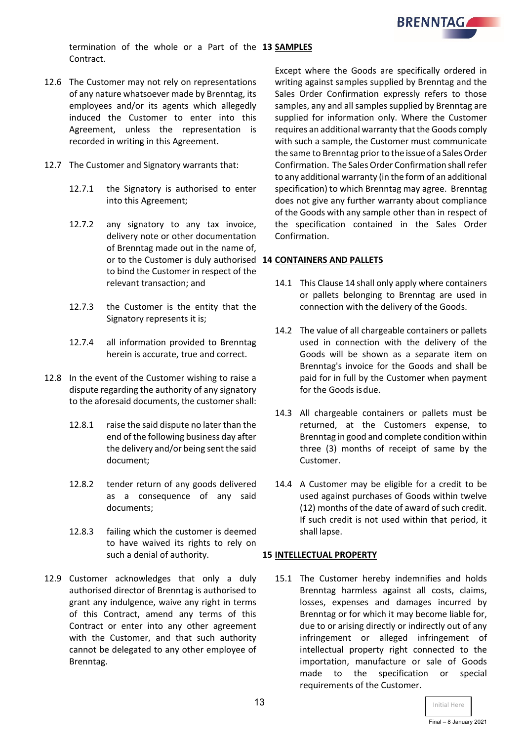

termination of the whole or a Part of the **13 SAMPLES** Contract.

- 12.6 The Customer may not rely on representations of any nature whatsoever made by Brenntag, its employees and/or its agents which allegedly induced the Customer to enter into this Agreement, unless the representation is recorded in writing in this Agreement.
- 12.7 The Customer and Signatory warrants that:
	- 12.7.1 the Signatory is authorised to enter into this Agreement;
	- 12.7.2 any signatory to any tax invoice, delivery note or other documentation of Brenntag made out in the name of, or to the Customer is duly authorised **14 CONTAINERS AND PALLETS** to bind the Customer in respect of the relevant transaction; and
	- 12.7.3 the Customer is the entity that the Signatory represents it is;
	- 12.7.4 all information provided to Brenntag herein is accurate, true and correct.
- 12.8 In the event of the Customer wishing to raise a dispute regarding the authority of any signatory to the aforesaid documents, the customer shall:
	- 12.8.1 raise the said dispute no later than the end of the following business day after the delivery and/or being sent the said document;
	- 12.8.2 tender return of any goods delivered as a consequence of any said documents;
	- 12.8.3 failing which the customer is deemed to have waived its rights to rely on such a denial of authority.
- 12.9 Customer acknowledges that only a duly authorised director of Brenntag is authorised to grant any indulgence, waive any right in terms of this Contract, amend any terms of this Contract or enter into any other agreement with the Customer, and that such authority cannot be delegated to any other employee of Brenntag.

Except where the Goods are specifically ordered in writing against samples supplied by Brenntag and the Sales Order Confirmation expressly refers to those samples, any and all samples supplied by Brenntag are supplied for information only. Where the Customer requires an additional warranty that the Goods comply with such a sample, the Customer must communicate the same to Brenntag prior to the issue of a Sales Order Confirmation. The Sales Order Confirmation shallrefer to any additional warranty (in the form of an additional specification) to which Brenntag may agree. Brenntag does not give any further warranty about compliance of the Goods with any sample other than in respect of the specification contained in the Sales Order Confirmation.

- 14.1 This Clause 14 shall only apply where containers or pallets belonging to Brenntag are used in connection with the delivery of the Goods.
- 14.2 The value of all chargeable containers or pallets used in connection with the delivery of the Goods will be shown as a separate item on Brenntag's invoice for the Goods and shall be paid for in full by the Customer when payment for the Goods isdue.
- 14.3 All chargeable containers or pallets must be returned, at the Customers expense, to Brenntag in good and complete condition within three (3) months of receipt of same by the Customer.
- 14.4 A Customer may be eligible for a credit to be used against purchases of Goods within twelve (12) months of the date of award of such credit. If such credit is not used within that period, it shall lapse.

### **15 INTELLECTUAL PROPERTY**

15.1 The Customer hereby indemnifies and holds Brenntag harmless against all costs, claims, losses, expenses and damages incurred by Brenntag or for which it may become liable for, due to or arising directly or indirectly out of any infringement or alleged infringement of intellectual property right connected to the importation, manufacture or sale of Goods made to the specification or special requirements of the Customer.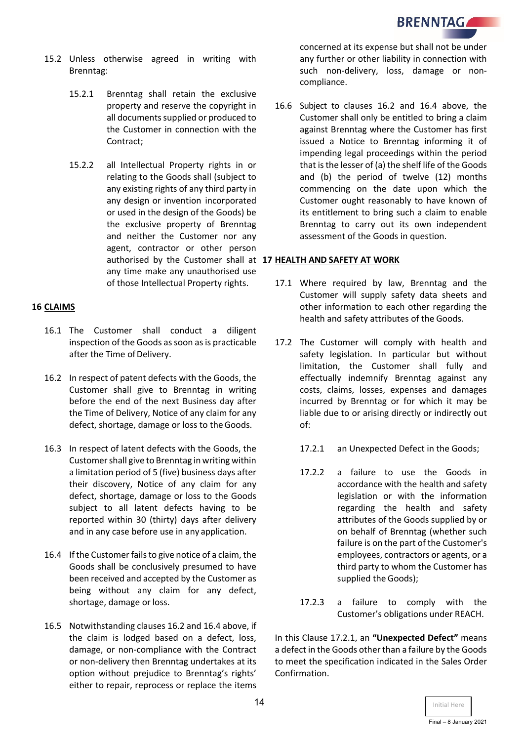- 15.2 Unless otherwise agreed in writing with Brenntag:
	- 15.2.1 Brenntag shall retain the exclusive property and reserve the copyright in all documents supplied or produced to the Customer in connection with the Contract;
	- 15.2.2 all Intellectual Property rights in or relating to the Goods shall (subject to any existing rights of any third party in any design or invention incorporated or used in the design of the Goods) be the exclusive property of Brenntag and neither the Customer nor any agent, contractor or other person authorised by the Customer shall at **17 HEALTH AND SAFETY AT WORK** any time make any unauthorised use of those Intellectual Property rights.

### **16 CLAIMS**

- 16.1 The Customer shall conduct a diligent inspection of the Goods as soon as is practicable after the Time of Delivery.
- 16.2 In respect of patent defects with the Goods, the Customer shall give to Brenntag in writing before the end of the next Business day after the Time of Delivery, Notice of any claim for any defect, shortage, damage or loss to the Goods.
- 16.3 In respect of latent defects with the Goods, the Customershall give to Brenntag in writing within a limitation period of 5 (five) business days after their discovery, Notice of any claim for any defect, shortage, damage or loss to the Goods subject to all latent defects having to be reported within 30 (thirty) days after delivery and in any case before use in any application.
- 16.4 If the Customer fails to give notice of a claim, the Goods shall be conclusively presumed to have been received and accepted by the Customer as being without any claim for any defect, shortage, damage or loss.
- 16.5 Notwithstanding clauses 16.2 and 16.4 above, if the claim is lodged based on a defect, loss, damage, or non-compliance with the Contract or non-delivery then Brenntag undertakes at its option without prejudice to Brenntag's rights' either to repair, reprocess or replace the items

concerned at its expense but shall not be under any further or other liability in connection with such non-delivery, loss, damage or noncompliance.

16.6 Subject to clauses 16.2 and 16.4 above, the Customer shall only be entitled to bring a claim against Brenntag where the Customer has first issued a Notice to Brenntag informing it of impending legal proceedings within the period that is the lesser of (a) the shelf life of the Goods and (b) the period of twelve (12) months commencing on the date upon which the Customer ought reasonably to have known of its entitlement to bring such a claim to enable Brenntag to carry out its own independent assessment of the Goods in question.

- 17.1 Where required by law, Brenntag and the Customer will supply safety data sheets and other information to each other regarding the health and safety attributes of the Goods.
- 17.2 The Customer will comply with health and safety legislation. In particular but without limitation, the Customer shall fully and effectually indemnify Brenntag against any costs, claims, losses, expenses and damages incurred by Brenntag or for which it may be liable due to or arising directly or indirectly out of:
	- 17.2.1 an Unexpected Defect in the Goods;
	- 17.2.2 a failure to use the Goods in accordance with the health and safety legislation or with the information regarding the health and safety attributes of the Goods supplied by or on behalf of Brenntag (whether such failure is on the part of the Customer's employees, contractors or agents, or a third party to whom the Customer has supplied the Goods);
	- 17.2.3 a failure to comply with the Customer's obligations under REACH.

In this Clause 17.2.1, an **"Unexpected Defect"** means a defect in the Goods other than a failure by the Goods to meet the specification indicated in the Sales Order Confirmation.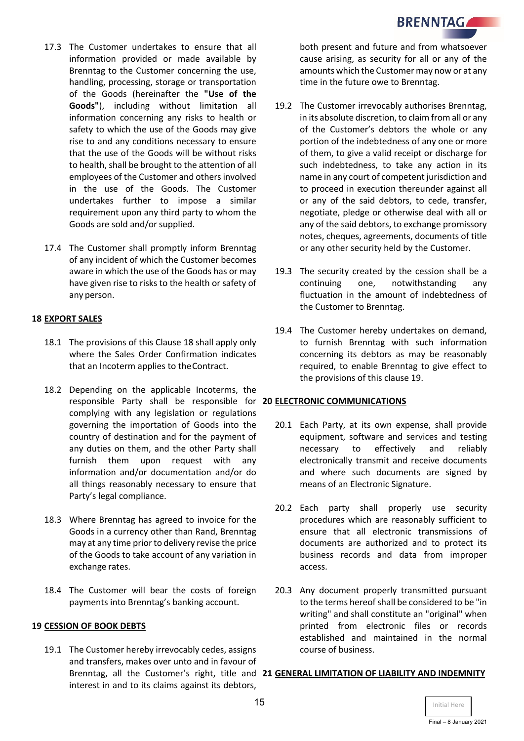- 17.3 The Customer undertakes to ensure that all information provided or made available by Brenntag to the Customer concerning the use, handling, processing, storage or transportation of the Goods (hereinafter the **"Use of the Goods"**), including without limitation all information concerning any risks to health or safety to which the use of the Goods may give rise to and any conditions necessary to ensure that the use of the Goods will be without risks to health, shall be brought to the attention of all employees of the Customer and others involved in the use of the Goods. The Customer undertakes further to impose a similar requirement upon any third party to whom the Goods are sold and/or supplied.
- 17.4 The Customer shall promptly inform Brenntag of any incident of which the Customer becomes aware in which the use of the Goods has or may have given rise to risks to the health or safety of any person.

### **18 EXPORT SALES**

- 18.1 The provisions of this Clause 18 shall apply only where the Sales Order Confirmation indicates that an Incoterm applies to theContract.
- 18.2 Depending on the applicable Incoterms, the responsible Party shall be responsible for **20 ELECTRONIC COMMUNICATIONS** complying with any legislation or regulations governing the importation of Goods into the country of destination and for the payment of any duties on them, and the other Party shall furnish them upon request with any information and/or documentation and/or do all things reasonably necessary to ensure that Party's legal compliance.
- 18.3 Where Brenntag has agreed to invoice for the Goods in a currency other than Rand, Brenntag may at any time prior to delivery revise the price of the Goods to take account of any variation in exchange rates.
- 18.4 The Customer will bear the costs of foreign payments into Brenntag's banking account.

### **19 CESSION OF BOOK DEBTS**

19.1 The Customer hereby irrevocably cedes, assigns and transfers, makes over unto and in favour of interest in and to its claims against its debtors,

both present and future and from whatsoever cause arising, as security for all or any of the amounts which the Customer may now or at any time in the future owe to Brenntag.

- 19.2 The Customer irrevocably authorises Brenntag, in its absolute discretion, to claim from all or any of the Customer's debtors the whole or any portion of the indebtedness of any one or more of them, to give a valid receipt or discharge for such indebtedness, to take any action in its name in any court of competent jurisdiction and to proceed in execution thereunder against all or any of the said debtors, to cede, transfer, negotiate, pledge or otherwise deal with all or any of the said debtors, to exchange promissory notes, cheques, agreements, documents of title or any other security held by the Customer.
- 19.3 The security created by the cession shall be a continuing one, notwithstanding any fluctuation in the amount of indebtedness of the Customer to Brenntag.
- 19.4 The Customer hereby undertakes on demand, to furnish Brenntag with such information concerning its debtors as may be reasonably required, to enable Brenntag to give effect to the provisions of this clause 19.

- 20.1 Each Party, at its own expense, shall provide equipment, software and services and testing necessary to effectively and reliably electronically transmit and receive documents and where such documents are signed by means of an Electronic Signature.
- 20.2 Each party shall properly use security procedures which are reasonably sufficient to ensure that all electronic transmissions of documents are authorized and to protect its business records and data from improper access.
- 20.3 Any document properly transmitted pursuant to the terms hereof shall be considered to be "in writing" and shall constitute an "original" when printed from electronic files or records established and maintained in the normal course of business.

### Brenntag, all the Customer's right, title and **21 GENERAL LIMITATION OF LIABILITY AND INDEMNITY**

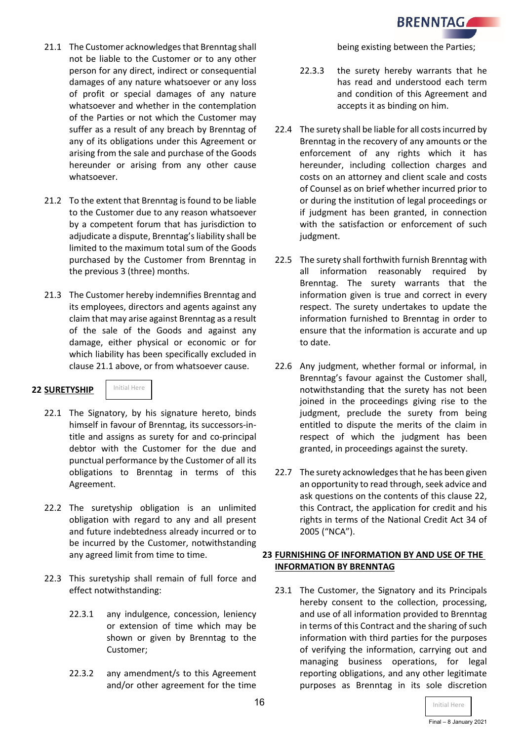

- 21.1 The Customer acknowledges that Brenntag shall not be liable to the Customer or to any other person for any direct, indirect or consequential damages of any nature whatsoever or any loss of profit or special damages of any nature whatsoever and whether in the contemplation of the Parties or not which the Customer may suffer as a result of any breach by Brenntag of any of its obligations under this Agreement or arising from the sale and purchase of the Goods hereunder or arising from any other cause whatsoever.
- 21.2 To the extent that Brenntag is found to be liable to the Customer due to any reason whatsoever by a competent forum that has jurisdiction to adjudicate a dispute, Brenntag's liability shall be limited to the maximum total sum of the Goods purchased by the Customer from Brenntag in the previous 3 (three) months.
- 21.3 The Customer hereby indemnifies Brenntag and its employees, directors and agents against any claim that may arise against Brenntag as a result of the sale of the Goods and against any damage, either physical or economic or for which liability has been specifically excluded in clause 21.1 above, or from whatsoever cause.

# **22 SURETYSHIP**



- 22.1 The Signatory, by his signature hereto, binds himself in favour of Brenntag, its successors-intitle and assigns as surety for and co-principal debtor with the Customer for the due and punctual performance by the Customer of all its obligations to Brenntag in terms of this Agreement.
- 22.2 The suretyship obligation is an unlimited obligation with regard to any and all present and future indebtedness already incurred or to be incurred by the Customer, notwithstanding any agreed limit from time to time.
- 22.3 This suretyship shall remain of full force and effect notwithstanding:
	- 22.3.1 any indulgence, concession, leniency or extension of time which may be shown or given by Brenntag to the Customer;
	- 22.3.2 any amendment/s to this Agreement and/or other agreement for the time

being existing between the Parties;

- 22.3.3 the surety hereby warrants that he has read and understood each term and condition of this Agreement and accepts it as binding on him.
- 22.4 The surety shall be liable for all costs incurred by Brenntag in the recovery of any amounts or the enforcement of any rights which it has hereunder, including collection charges and costs on an attorney and client scale and costs of Counsel as on brief whether incurred prior to or during the institution of legal proceedings or if judgment has been granted, in connection with the satisfaction or enforcement of such judgment.
- 22.5 The surety shall forthwith furnish Brenntag with all information reasonably required by Brenntag. The surety warrants that the information given is true and correct in every respect. The surety undertakes to update the information furnished to Brenntag in order to ensure that the information is accurate and up to date.
- 22.6 Any judgment, whether formal or informal, in Brenntag's favour against the Customer shall, notwithstanding that the surety has not been joined in the proceedings giving rise to the judgment, preclude the surety from being entitled to dispute the merits of the claim in respect of which the judgment has been granted, in proceedings against the surety.
- 22.7 The surety acknowledges that he has been given an opportunity to read through, seek advice and ask questions on the contents of this clause 22, this Contract, the application for credit and his rights in terms of the National Credit Act 34 of 2005 ("NCA").

### **23 FURNISHING OF INFORMATION BY AND USE OF THE INFORMATION BY BRENNTAG**

23.1 The Customer, the Signatory and its Principals hereby consent to the collection, processing, and use of all information provided to Brenntag in terms of this Contract and the sharing of such information with third parties for the purposes of verifying the information, carrying out and managing business operations, for legal reporting obligations, and any other legitimate purposes as Brenntag in its sole discretion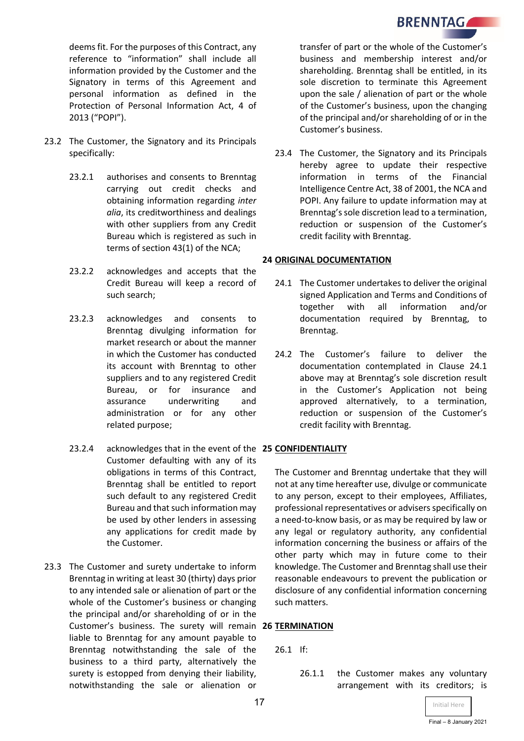

deems fit. For the purposes of this Contract, any reference to "information" shall include all information provided by the Customer and the Signatory in terms of this Agreement and personal information as defined in the Protection of Personal Information Act, 4 of 2013 ("POPI").

- 23.2 The Customer, the Signatory and its Principals specifically:
	- 23.2.1 authorises and consents to Brenntag carrying out credit checks and obtaining information regarding *inter alia*, its creditworthiness and dealings with other suppliers from any Credit Bureau which is registered as such in terms of section 43(1) of the NCA;
	- 23.2.2 acknowledges and accepts that the Credit Bureau will keep a record of such search;
	- 23.2.3 acknowledges and consents to Brenntag divulging information for market research or about the manner in which the Customer has conducted its account with Brenntag to other suppliers and to any registered Credit Bureau, or for insurance and assurance underwriting and administration or for any other related purpose;
	- 23.2.4 acknowledges that in the event of the **25 CONFIDENTIALITY** Customer defaulting with any of its obligations in terms of this Contract, Brenntag shall be entitled to report such default to any registered Credit Bureau and that such information may be used by other lenders in assessing any applications for credit made by the Customer.
- 23.3 The Customer and surety undertake to inform Brenntag in writing at least 30 (thirty) days prior to any intended sale or alienation of part or the whole of the Customer's business or changing the principal and/or shareholding of or in the Customer's business. The surety will remain **26 TERMINATION** liable to Brenntag for any amount payable to Brenntag notwithstanding the sale of the business to a third party, alternatively the surety is estopped from denying their liability, notwithstanding the sale or alienation or

transfer of part or the whole of the Customer's business and membership interest and/or shareholding. Brenntag shall be entitled, in its sole discretion to terminate this Agreement upon the sale / alienation of part or the whole of the Customer's business, upon the changing of the principal and/or shareholding of or in the Customer's business.

23.4 The Customer, the Signatory and its Principals hereby agree to update their respective information in terms of the Financial Intelligence Centre Act, 38 of 2001, the NCA and POPI. Any failure to update information may at Brenntag's sole discretion lead to a termination, reduction or suspension of the Customer's credit facility with Brenntag.

### **24 ORIGINAL DOCUMENTATION**

- 24.1 The Customer undertakes to deliver the original signed Application and Terms and Conditions of together with all information and/or documentation required by Brenntag, to Brenntag.
- 24.2 The Customer's failure to deliver the documentation contemplated in Clause 24.1 above may at Brenntag's sole discretion result in the Customer's Application not being approved alternatively, to a termination, reduction or suspension of the Customer's credit facility with Brenntag.

The Customer and Brenntag undertake that they will not at any time hereafter use, divulge or communicate to any person, except to their employees, Affiliates, professional representatives or advisers specifically on a need-to-know basis, or as may be required by law or any legal or regulatory authority, any confidential information concerning the business or affairs of the other party which may in future come to their knowledge. The Customer and Brenntag shall use their reasonable endeavours to prevent the publication or disclosure of any confidential information concerning such matters.

26.1 If:

26.1.1 the Customer makes any voluntary arrangement with its creditors; is

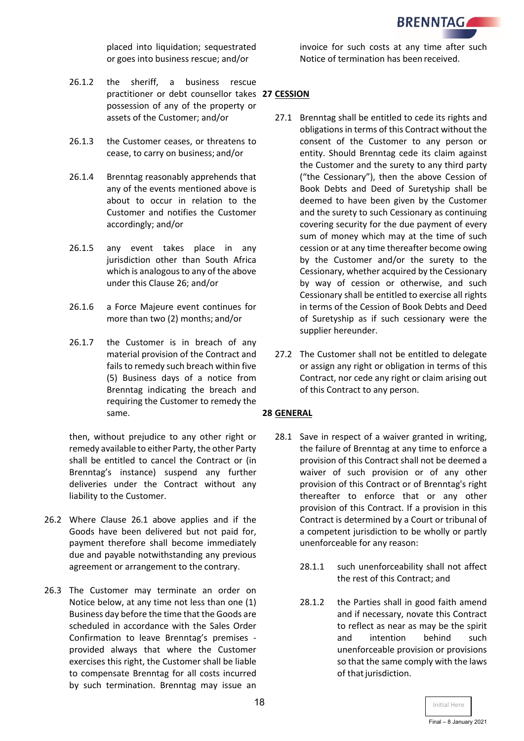

placed into liquidation; sequestrated or goes into business rescue; and/or

- 26.1.2 the sheriff, a business rescue practitioner or debt counsellor takes **27 CESSION** possession of any of the property or assets of the Customer; and/or
- 26.1.3 the Customer ceases, or threatens to cease, to carry on business; and/or
- 26.1.4 Brenntag reasonably apprehends that any of the events mentioned above is about to occur in relation to the Customer and notifies the Customer accordingly; and/or
- 26.1.5 any event takes place in any jurisdiction other than South Africa which is analogous to any of the above under this Clause 26; and/or
- 26.1.6 a Force Majeure event continues for more than two (2) months; and/or
- 26.1.7 the Customer is in breach of any material provision of the Contract and fails to remedy such breach within five (5) Business days of a notice from Brenntag indicating the breach and requiring the Customer to remedy the same.

then, without prejudice to any other right or remedy available to either Party, the other Party shall be entitled to cancel the Contract or (in Brenntag's instance) suspend any further deliveries under the Contract without any liability to the Customer.

- 26.2 Where Clause 26.1 above applies and if the Goods have been delivered but not paid for, payment therefore shall become immediately due and payable notwithstanding any previous agreement or arrangement to the contrary.
- 26.3 The Customer may terminate an order on Notice below, at any time not less than one (1) Business day before the time that the Goods are scheduled in accordance with the Sales Order Confirmation to leave Brenntag's premises provided always that where the Customer exercises this right, the Customer shall be liable to compensate Brenntag for all costs incurred by such termination. Brenntag may issue an

invoice for such costs at any time after such Notice of termination has been received.

- 27.1 Brenntag shall be entitled to cede its rights and obligations in terms of this Contract without the consent of the Customer to any person or entity. Should Brenntag cede its claim against the Customer and the surety to any third party ("the Cessionary"), then the above Cession of Book Debts and Deed of Suretyship shall be deemed to have been given by the Customer and the surety to such Cessionary as continuing covering security for the due payment of every sum of money which may at the time of such cession or at any time thereafter become owing by the Customer and/or the surety to the Cessionary, whether acquired by the Cessionary by way of cession or otherwise, and such Cessionary shall be entitled to exercise all rights in terms of the Cession of Book Debts and Deed of Suretyship as if such cessionary were the supplier hereunder.
- 27.2 The Customer shall not be entitled to delegate or assign any right or obligation in terms of this Contract, nor cede any right or claim arising out of this Contract to any person.

# **28 GENERAL**

- 28.1 Save in respect of a waiver granted in writing, the failure of Brenntag at any time to enforce a provision of this Contract shall not be deemed a waiver of such provision or of any other provision of this Contract or of Brenntag's right thereafter to enforce that or any other provision of this Contract. If a provision in this Contract is determined by a Court or tribunal of a competent jurisdiction to be wholly or partly unenforceable for any reason:
	- 28.1.1 such unenforceability shall not affect the rest of this Contract; and
	- 28.1.2 the Parties shall in good faith amend and if necessary, novate this Contract to reflect as near as may be the spirit and intention behind such unenforceable provision or provisions so that the same comply with the laws of that jurisdiction.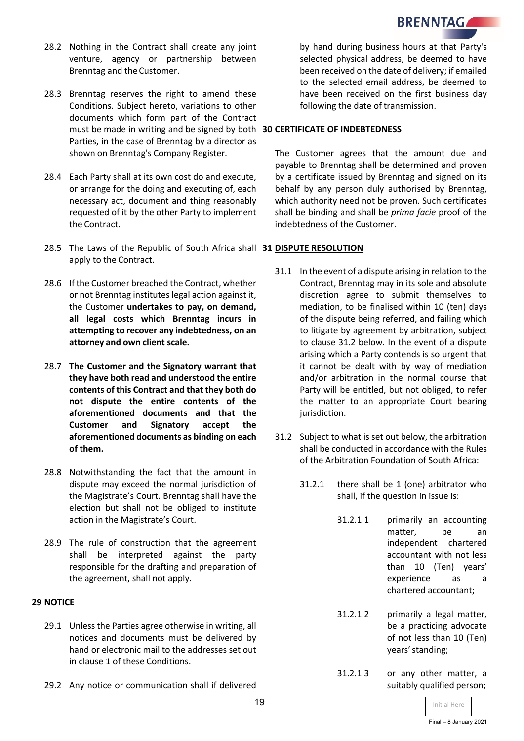

- 28.2 Nothing in the Contract shall create any joint venture, agency or partnership between Brenntag and theCustomer.
- 28.3 Brenntag reserves the right to amend these Conditions. Subject hereto, variations to other documents which form part of the Contract must be made in writing and be signed by both **30 CERTIFICATE OF INDEBTEDNESS** Parties, in the case of Brenntag by a director as shown on Brenntag's Company Register.
- 28.4 Each Party shall at its own cost do and execute, or arrange for the doing and executing of, each necessary act, document and thing reasonably requested of it by the other Party to implement the Contract.
- 28.5 The Laws of the Republic of South Africa shall **31 DISPUTE RESOLUTION** apply to the Contract.
- 28.6 If the Customer breached the Contract, whether or not Brenntag institutes legal action against it, the Customer **undertakes to pay, on demand, all legal costs which Brenntag incurs in attempting to recover any indebtedness, on an attorney and own client scale.**
- 28.7 **The Customer and the Signatory warrant that they have both read and understood the entire contents of this Contract and that they both do not dispute the entire contents of the aforementioned documents and that the Customer and Signatory accept the aforementioned documents as binding on each of them.**
- 28.8 Notwithstanding the fact that the amount in dispute may exceed the normal jurisdiction of the Magistrate's Court. Brenntag shall have the election but shall not be obliged to institute action in the Magistrate's Court.
- 28.9 The rule of construction that the agreement shall be interpreted against the party responsible for the drafting and preparation of the agreement, shall not apply.

### **29 NOTICE**

- 29.1 Unless the Parties agree otherwise in writing, all notices and documents must be delivered by hand or electronic mail to the addresses set out in clause 1 of these Conditions.
- 29.2 Any notice or communication shall if delivered

by hand during business hours at that Party's selected physical address, be deemed to have been received on the date of delivery; if emailed to the selected email address, be deemed to have been received on the first business day following the date of transmission.

The Customer agrees that the amount due and payable to Brenntag shall be determined and proven by a certificate issued by Brenntag and signed on its behalf by any person duly authorised by Brenntag, which authority need not be proven. Such certificates shall be binding and shall be *prima facie* proof of the indebtedness of the Customer.

- 31.1 In the event of a dispute arising in relation to the Contract, Brenntag may in its sole and absolute discretion agree to submit themselves to mediation, to be finalised within 10 (ten) days of the dispute being referred, and failing which to litigate by agreement by arbitration, subject to clause 31.2 below. In the event of a dispute arising which a Party contends is so urgent that it cannot be dealt with by way of mediation and/or arbitration in the normal course that Party will be entitled, but not obliged, to refer the matter to an appropriate Court bearing jurisdiction.
- 31.2 Subject to what is set out below, the arbitration shall be conducted in accordance with the Rules of the Arbitration Foundation of South Africa:
	- 31.2.1 there shall be 1 (one) arbitrator who shall, if the question in issue is:
		- 31.2.1.1 primarily an accounting matter, be an independent chartered accountant with not less than 10 (Ten) years' experience as a chartered accountant;
		- 31.2.1.2 primarily a legal matter, be a practicing advocate of not less than 10 (Ten) years' standing;
		- 31.2.1.3 or any other matter, a suitably qualified person;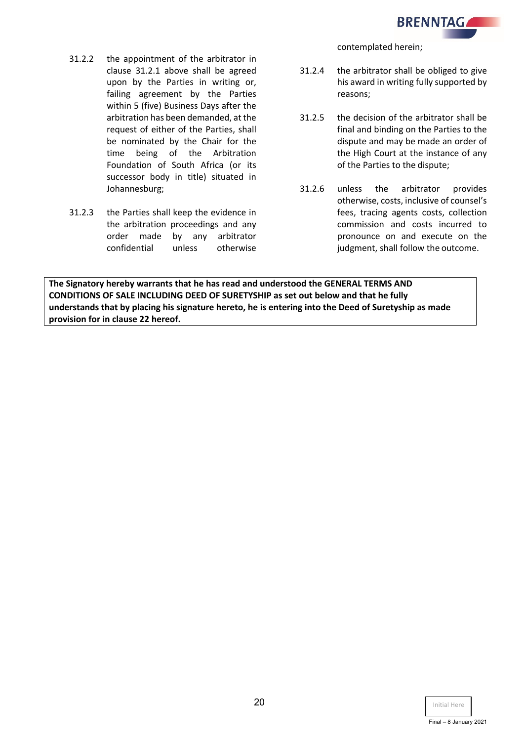

- 31.2.2 the appointment of the arbitrator in clause 31.2.1 above shall be agreed upon by the Parties in writing or, failing agreement by the Parties within 5 (five) Business Days after the arbitration has been demanded, at the request of either of the Parties, shall be nominated by the Chair for the time being of the Arbitration Foundation of South Africa (or its successor body in title) situated in Johannesburg;
- 31.2.3 the Parties shall keep the evidence in the arbitration proceedings and any order made by any arbitrator confidential unless otherwise

contemplated herein;

- 31.2.4 the arbitrator shall be obliged to give his award in writing fully supported by reasons;
- 31.2.5 the decision of the arbitrator shall be final and binding on the Parties to the dispute and may be made an order of the High Court at the instance of any of the Parties to the dispute;
- 31.2.6 unless the arbitrator provides otherwise, costs, inclusive of counsel's fees, tracing agents costs, collection commission and costs incurred to pronounce on and execute on the judgment, shall follow the outcome.

**The Signatory hereby warrants that he has read and understood the GENERAL TERMS AND CONDITIONS OF SALE INCLUDING DEED OF SURETYSHIP as set out below and that he fully understands that by placing his signature hereto, he is entering into the Deed of Suretyship as made provision for in clause 22 hereof.**